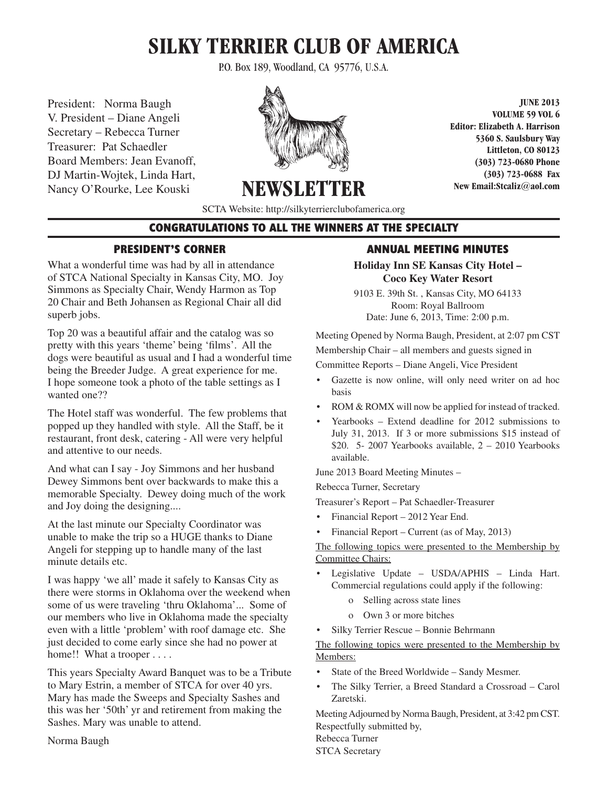# **SILKY TERRIER CLUB OF AMERICA**

P.O. Box 189, Woodland, CA 95776, U.S.A.

President: Norma Baugh V. President – Diane Angeli Secretary – Rebecca Turner Treasurer: Pat Schaedler Board Members: Jean Evanoff, DJ Martin-Wojtek, Linda Hart, Nancy O'Rourke, Lee Kouski



**VOLUME 59 VOL 6 Editor: Elizabeth A. Harrison 5360 S. Saulsbury Way Littleton, CO 80123 (303) 723-0680 Phone (303) 723-0688 Fax New Email:Stcaliz@aol.com** 

**JUNE 2013**

SCTA Website: http://silkyterrierclubofamerica.org

**NEWSLET** 

#### **CONGRATULATIONS TO ALL THE WINNERS AT THE SPECIALTY**

#### **PRESIDENT'S CORNER**

What a wonderful time was had by all in attendance of STCA National Specialty in Kansas City, MO. Joy Simmons as Specialty Chair, Wendy Harmon as Top 20 Chair and Beth Johansen as Regional Chair all did superb jobs.

Top 20 was a beautiful affair and the catalog was so pretty with this years 'theme' being 'films'. All the dogs were beautiful as usual and I had a wonderful time being the Breeder Judge. A great experience for me. I hope someone took a photo of the table settings as I wanted one??

The Hotel staff was wonderful. The few problems that popped up they handled with style. All the Staff, be it restaurant, front desk, catering - All were very helpful and attentive to our needs.

And what can I say - Joy Simmons and her husband Dewey Simmons bent over backwards to make this a memorable Specialty. Dewey doing much of the work and Joy doing the designing....

At the last minute our Specialty Coordinator was unable to make the trip so a HUGE thanks to Diane Angeli for stepping up to handle many of the last minute details etc.

I was happy 'we all' made it safely to Kansas City as there were storms in Oklahoma over the weekend when some of us were traveling 'thru Oklahoma'... Some of our members who live in Oklahoma made the specialty even with a little 'problem' with roof damage etc. She just decided to come early since she had no power at home!! What a trooper . . . .

This years Specialty Award Banquet was to be a Tribute to Mary Estrin, a member of STCA for over 40 yrs. Mary has made the Sweeps and Specialty Sashes and this was her '50th' yr and retirement from making the Sashes. Mary was unable to attend.

Norma Baugh

#### **ANNUAL MEETING MINUTES**

**Holiday Inn SE Kansas City Hotel – Coco Key Water Resort**

9103 E. 39th St. , Kansas City, MO 64133 Room: Royal Ballroom Date: June 6, 2013, Time: 2:00 p.m.

Meeting Opened by Norma Baugh, President, at 2:07 pm CST Membership Chair – all members and guests signed in

Committee Reports – Diane Angeli, Vice President

- Gazette is now online, will only need writer on ad hoc basis
- ROM & ROMX will now be applied for instead of tracked.
- Yearbooks Extend deadline for  $2012$  submissions to July 31, 2013. If 3 or more submissions \$15 instead of \$20. 5- 2007 Yearbooks available, 2 – 2010 Yearbooks available.

June 2013 Board Meeting Minutes –

Rebecca Turner, Secretary

Treasurer's Report – Pat Schaedler-Treasurer

- Financial Report 2012 Year End.
- Financial Report Current (as of May, 2013)

The following topics were presented to the Membership by Committee Chairs:

- • Legislative Update USDA/APHIS Linda Hart. Commercial regulations could apply if the following:
	- o Selling across state lines
	- o Own 3 or more bitches
- Silky Terrier Rescue Bonnie Behrmann

The following topics were presented to the Membership by Members:

- State of the Breed Worldwide Sandy Mesmer.
- • The Silky Terrier, a Breed Standard a Crossroad Carol Zaretski.

Meeting Adjourned by Norma Baugh, President, at 3:42 pm CST. Respectfully submitted by,

Rebecca Turner STCA Secretary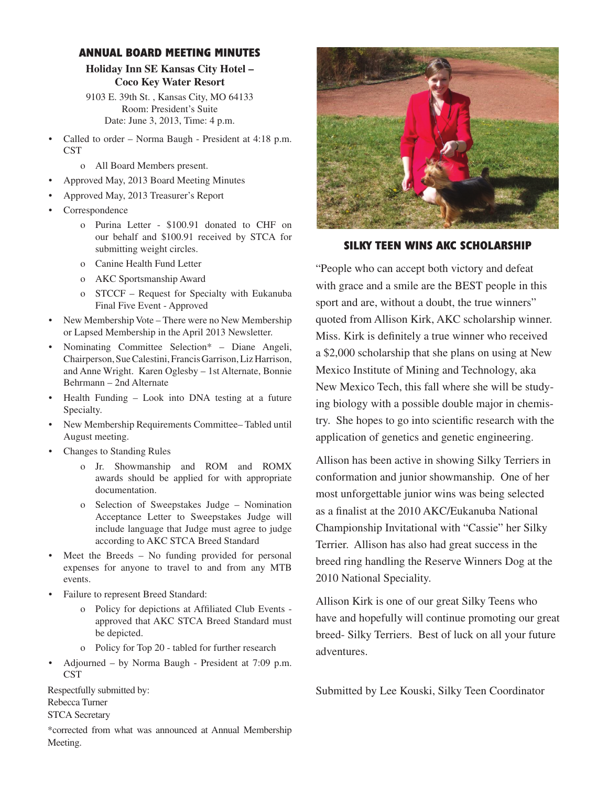#### **ANNUAL BOARD MEETING MINUTES**

#### **Holiday Inn SE Kansas City Hotel – Coco Key Water Resort**

9103 E. 39th St. , Kansas City, MO 64133 Room: President's Suite Date: June 3, 2013, Time: 4 p.m.

- Called to order Norma Baugh President at  $4:18$  p.m. **CST** 
	- o All Board Members present.
- Approved May, 2013 Board Meeting Minutes
- Approved May, 2013 Treasurer's Report
- **Correspondence** 
	- o Purina Letter \$100.91 donated to CHF on our behalf and \$100.91 received by STCA for submitting weight circles.
	- o Canine Health Fund Letter
	- o AKC Sportsmanship Award
	- o STCCF Request for Specialty with Eukanuba Final Five Event - Approved
- New Membership Vote There were no New Membership or Lapsed Membership in the April 2013 Newsletter.
- Nominating Committee Selection\* Diane Angeli, Chairperson,SueCalestini,FrancisGarrison,LizHarrison, and Anne Wright. Karen Oglesby – 1st Alternate, Bonnie Behrmann – 2nd Alternate
- Health Funding  $-$  Look into DNA testing at a future Specialty.
- New Membership Requirements Committee– Tabled until August meeting.
- Changes to Standing Rules
	- o Jr. Showmanship and ROM and ROMX awards should be applied for with appropriate documentation.
	- o Selection of Sweepstakes Judge Nomination Acceptance Letter to Sweepstakes Judge will include language that Judge must agree to judge according to AKC STCA Breed Standard
- Meet the Breeds  $-$  No funding provided for personal expenses for anyone to travel to and from any MTB events.
- Failure to represent Breed Standard:
	- o Policy for depictions at Affiliated Club Events approved that AKC STCA Breed Standard must be depicted.
	- o Policy for Top 20 tabled for further research
- Adjourned by Norma Baugh President at  $7:09$  p.m. **CST**

Respectfully submitted by:

Rebecca Turner

STCA Secretary

\*corrected from what was announced at Annual Membership Meeting.



#### **SILKY TEEN WINS AKC SCHOLARSHIP**

"People who can accept both victory and defeat with grace and a smile are the BEST people in this sport and are, without a doubt, the true winners" quoted from Allison Kirk, AKC scholarship winner. Miss. Kirk is definitely a true winner who received a \$2,000 scholarship that she plans on using at New Mexico Institute of Mining and Technology, aka New Mexico Tech, this fall where she will be studying biology with a possible double major in chemistry. She hopes to go into scientific research with the application of genetics and genetic engineering.

Allison has been active in showing Silky Terriers in conformation and junior showmanship. One of her most unforgettable junior wins was being selected as a finalist at the 2010 AKC/Eukanuba National Championship Invitational with "Cassie" her Silky Terrier. Allison has also had great success in the breed ring handling the Reserve Winners Dog at the 2010 National Speciality.

Allison Kirk is one of our great Silky Teens who have and hopefully will continue promoting our great breed- Silky Terriers. Best of luck on all your future adventures.

Submitted by Lee Kouski, Silky Teen Coordinator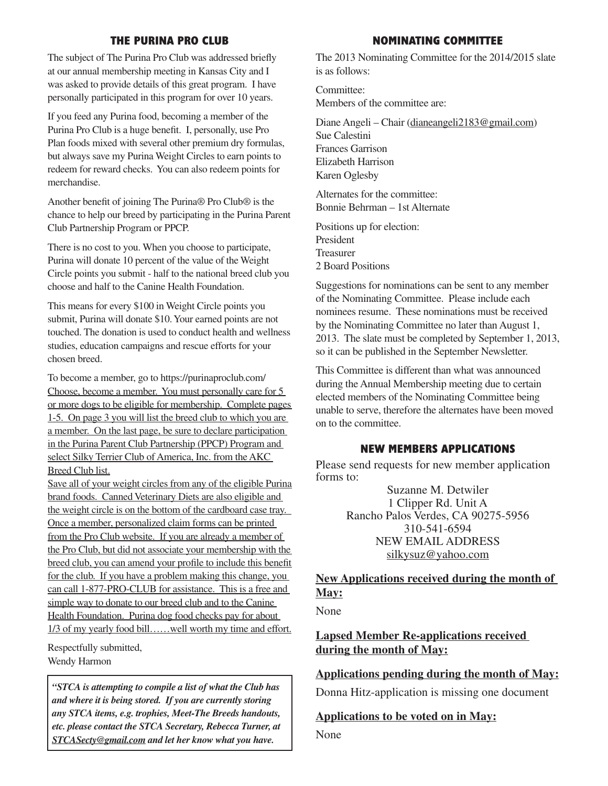#### **THE PURINA PRO CLUB**

The subject of The Purina Pro Club was addressed briefly at our annual membership meeting in Kansas City and I was asked to provide details of this great program. I have personally participated in this program for over 10 years.

If you feed any Purina food, becoming a member of the Purina Pro Club is a huge benefit. I, personally, use Pro Plan foods mixed with several other premium dry formulas, but always save my Purina Weight Circles to earn points to redeem for reward checks. You can also redeem points for merchandise.

Another benefit of joining The Purina® Pro Club® is the chance to help our breed by participating in the Purina Parent Club Partnership Program or PPCP.

There is no cost to you. When you choose to participate, Purina will donate 10 percent of the value of the Weight Circle points you submit - half to the national breed club you choose and half to the Canine Health Foundation.

This means for every \$100 in Weight Circle points you submit, Purina will donate \$10.Your earned points are not touched. The donation is used to conduct health and wellness studies, education campaigns and rescue efforts for your chosen breed.

To become a member, go to https://purinaproclub.com/ Choose, become a member. You must personally care for 5 or more dogs to be eligible for membership. Complete pages 1-5. On page 3 you will list the breed club to which you are a member. On the last page, be sure to declare participation in the Purina Parent Club Partnership (PPCP) Program and select Silky Terrier Club of America, Inc. from the AKC Breed Club list.

Save all of your weight circles from any of the eligible Purina brand foods. Canned Veterinary Diets are also eligible and the weight circle is on the bottom of the cardboard case tray. Once a member, personalized claim forms can be printed from the Pro Club website. If you are already a member of the Pro Club, but did not associate your membership with the breed club, you can amend your profile to include this benefit for the club. If you have a problem making this change, you can call 1-877-PRO-CLUB for assistance. This is a free and simple way to donate to our breed club and to the Canine Health Foundation. Purina dog food checks pay for about 1/3 of my yearly food bill……well worth my time and effort.

Respectfully submitted, Wendy Harmon

Г

*"STCA is attempting to compile a list of what the Club has and where it is being stored. If you are currently storing any STCA items, e.g. trophies, Meet-The Breeds handouts, etc. please contact the STCA Secretary, Rebecca Turner, at STCASecty@gmail.com and let her know what you have.*

#### **NOMINATING COMMITTEE**

The 2013 Nominating Committee for the 2014/2015 slate is as follows:

Committee: Members of the committee are:

Diane Angeli – Chair (dianeangeli2183@gmail.com) Sue Calestini Frances Garrison Elizabeth Harrison Karen Oglesby

Alternates for the committee: Bonnie Behrman – 1st Alternate

Positions up for election: President Treasurer 2 Board Positions

Suggestions for nominations can be sent to any member of the Nominating Committee. Please include each nominees resume. These nominations must be received by the Nominating Committee no later than August 1, 2013. The slate must be completed by September 1, 2013, so it can be published in the September Newsletter.

This Committee is different than what was announced during the Annual Membership meeting due to certain elected members of the Nominating Committee being unable to serve, therefore the alternates have been moved on to the committee.

#### **NEW MEMBERS APPLICATIONS**

Please send requests for new member application forms to:

> Suzanne M. Detwiler 1 Clipper Rd. Unit A Rancho Palos Verdes, CA 90275-5956 310-541-6594 NEW EMAIL ADDRESS silkysuz@yahoo.com

### **New Applications received during the month of May:**

None

#### **Lapsed Member Re-applications received during the month of May:**

**Applications pending during the month of May:** Donna Hitz-application is missing one document

#### **Applications to be voted on in May:**

None